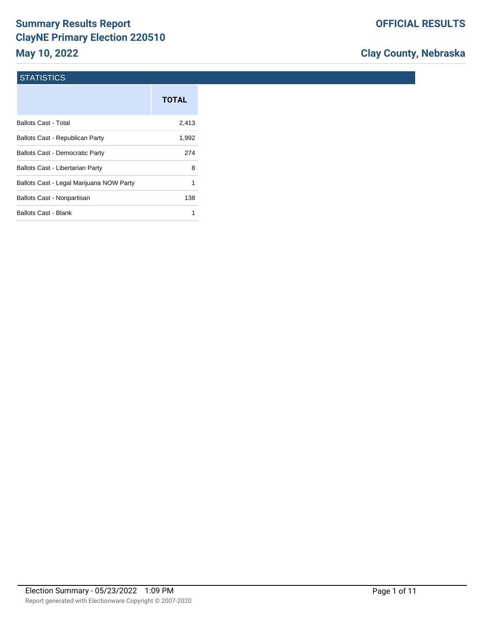# **Summary Results Report ClayNE Primary Election 220510 May 10, 2022**

## **Clay County, Nebraska**

#### **STATISTICS**

|                                          | <b>TOTAL</b> |
|------------------------------------------|--------------|
| Ballots Cast - Total                     | 2,413        |
| Ballots Cast - Republican Party          | 1,992        |
| <b>Ballots Cast - Democratic Party</b>   | 274          |
| Ballots Cast - Libertarian Party         | 8            |
| Ballots Cast - Legal Marijuana NOW Party | 1            |
| Ballots Cast - Nonpartisan               | 138          |
| Ballots Cast - Blank                     |              |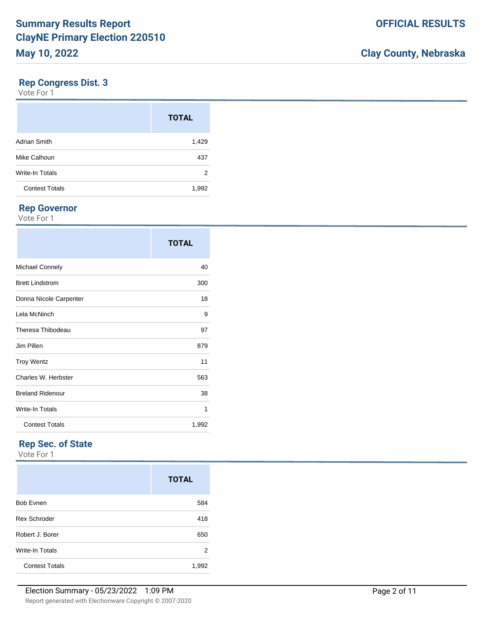#### **Rep Congress Dist. 3**

Vote For 1

|                        | <b>TOTAL</b> |
|------------------------|--------------|
| <b>Adrian Smith</b>    | 1,429        |
| Mike Calhoun           | 437          |
| <b>Write-In Totals</b> | 2            |
| <b>Contest Totals</b>  | 1,992        |

## **Rep Governor**

Vote For 1

|                         | <b>TOTAL</b> |
|-------------------------|--------------|
| <b>Michael Connely</b>  | 40           |
| <b>Brett Lindstrom</b>  | 300          |
| Donna Nicole Carpenter  | 18           |
| Lela McNinch            | 9            |
| Theresa Thibodeau       | 97           |
| Jim Pillen              | 879          |
| <b>Troy Wentz</b>       | 11           |
| Charles W. Herbster     | 563          |
| <b>Breland Ridenour</b> | 38           |
| Write-In Totals         | 1            |
| <b>Contest Totals</b>   | 1,992        |

## **Rep Sec. of State**

|                       | <b>TOTAL</b> |
|-----------------------|--------------|
| <b>Bob Evnen</b>      | 584          |
| <b>Rex Schroder</b>   | 418          |
| Robert J. Borer       | 650          |
| Write-In Totals       | 2            |
| <b>Contest Totals</b> | 1,992        |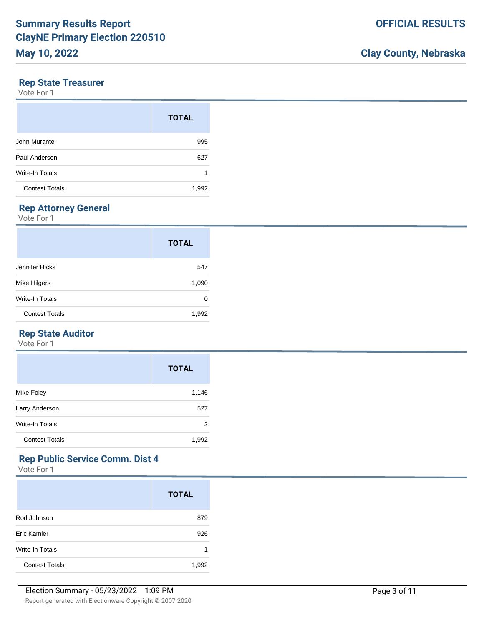#### **Rep State Treasurer**

Vote For 1

|                       | <b>TOTAL</b> |
|-----------------------|--------------|
| John Murante          | 995          |
| Paul Anderson         | 627          |
| Write-In Totals       | 1            |
| <b>Contest Totals</b> | 1,992        |

## **Rep Attorney General**

Vote For 1

|                       | <b>TOTAL</b> |
|-----------------------|--------------|
| Jennifer Hicks        | 547          |
| Mike Hilgers          | 1,090        |
| Write-In Totals       | 0            |
| <b>Contest Totals</b> | 1,992        |

### **Rep State Auditor**

Vote For 1

|                       | <b>TOTAL</b> |
|-----------------------|--------------|
| Mike Foley            | 1,146        |
| Larry Anderson        | 527          |
| Write-In Totals       | 2            |
| <b>Contest Totals</b> | 1,992        |

### **Rep Public Service Comm. Dist 4**

|                       | <b>TOTAL</b> |
|-----------------------|--------------|
| Rod Johnson           | 879          |
| Eric Kamler           | 926          |
| Write-In Totals       | 1            |
| <b>Contest Totals</b> | 1,992        |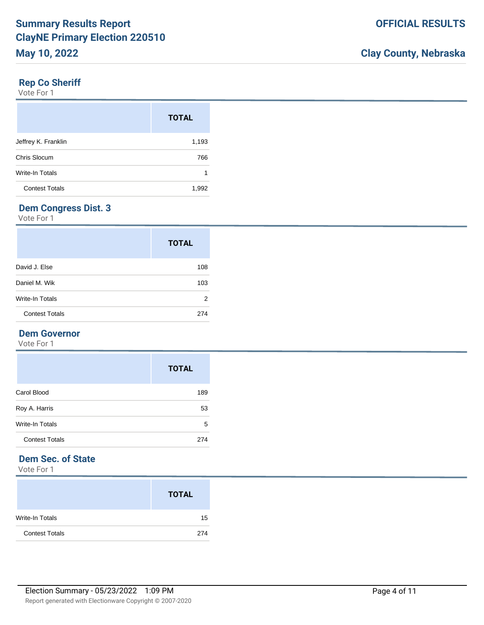#### **Rep Co Sheriff**

Vote For 1

|                        | <b>TOTAL</b> |
|------------------------|--------------|
| Jeffrey K. Franklin    | 1,193        |
| Chris Slocum           | 766          |
| <b>Write-In Totals</b> | 1            |
| <b>Contest Totals</b>  | 1,992        |

## **Dem Congress Dist. 3**

Vote For 1

|                       | <b>TOTAL</b> |
|-----------------------|--------------|
| David J. Else         | 108          |
| Daniel M. Wik         | 103          |
| Write-In Totals       | 2            |
| <b>Contest Totals</b> | 274          |

#### **Dem Governor**

Vote For 1

|                        | <b>TOTAL</b> |
|------------------------|--------------|
| Carol Blood            | 189          |
| Roy A. Harris          | 53           |
| <b>Write-In Totals</b> | 5            |
| <b>Contest Totals</b>  | 274          |

## **Dem Sec. of State**

|                       | <b>TOTAL</b> |
|-----------------------|--------------|
| Write-In Totals       | 15           |
| <b>Contest Totals</b> | 274          |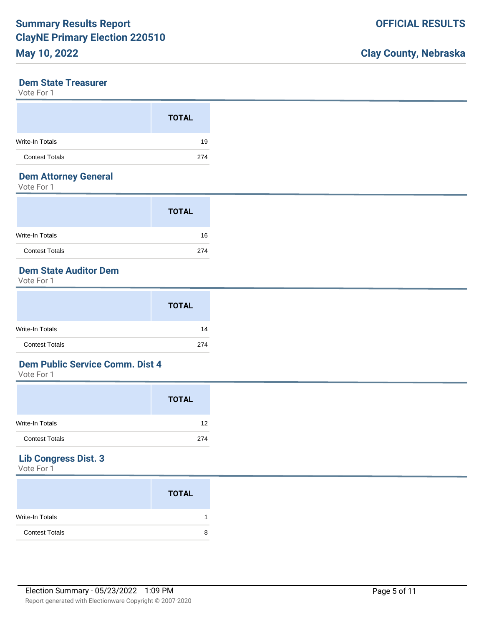#### **Dem State Treasurer**

Vote For 1

|                       | <b>TOTAL</b> |
|-----------------------|--------------|
| Write-In Totals       | 19           |
| <b>Contest Totals</b> | 274          |

### **Dem Attorney General**

Vote For 1

|                        | <b>TOTAL</b> |
|------------------------|--------------|
| <b>Write-In Totals</b> | 16           |
| <b>Contest Totals</b>  | 274          |

## **Dem State Auditor Dem**

Vote For 1

|                       | <b>TOTAL</b> |
|-----------------------|--------------|
| Write-In Totals       | 14           |
| <b>Contest Totals</b> | 274          |

### **Dem Public Service Comm. Dist 4**

Vote For 1

|                       | <b>TOTAL</b> |
|-----------------------|--------------|
| Write-In Totals       | 12           |
| <b>Contest Totals</b> | 274          |

## **Lib Congress Dist. 3**

|                       | <b>TOTAL</b> |   |
|-----------------------|--------------|---|
| Write-In Totals       |              |   |
| <b>Contest Totals</b> |              | 8 |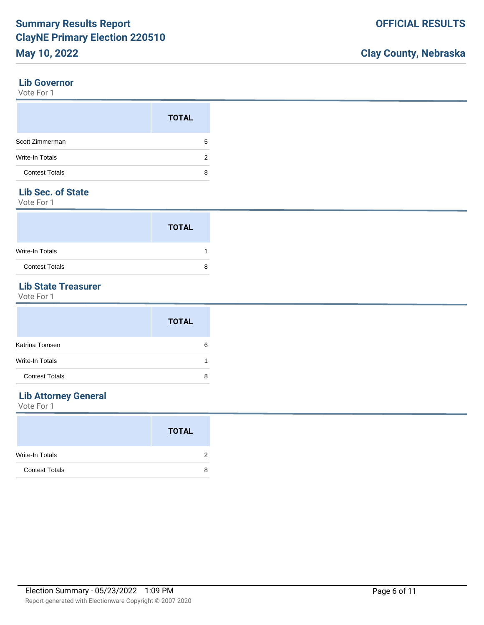#### **Lib Governor**

Vote For 1

|                       | <b>TOTAL</b> |
|-----------------------|--------------|
| Scott Zimmerman       | 5            |
| Write-In Totals       | 2            |
| <b>Contest Totals</b> | 8            |

### **Lib Sec. of State**

Vote For 1

|                       | <b>TOTAL</b> |  |
|-----------------------|--------------|--|
| Write-In Totals       |              |  |
| <b>Contest Totals</b> |              |  |

### **Lib State Treasurer**

Vote For 1

|                       | <b>TOTAL</b> |
|-----------------------|--------------|
| Katrina Tomsen        | 6            |
| Write-In Totals       |              |
| <b>Contest Totals</b> | 8            |

## **Lib Attorney General**

|                       | <b>TOTAL</b> |
|-----------------------|--------------|
| Write-In Totals       | 2            |
| <b>Contest Totals</b> | 8            |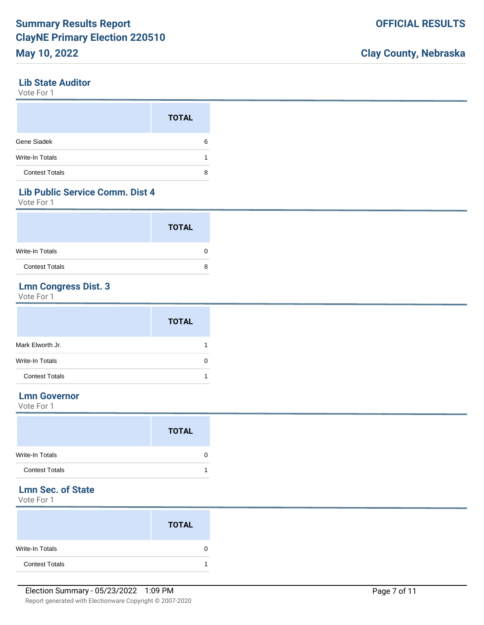#### **Lib State Auditor**

Vote For 1

|                        | <b>TOTAL</b> |
|------------------------|--------------|
| Gene Siadek            | 6            |
| <b>Write-In Totals</b> |              |
| <b>Contest Totals</b>  | 8            |

### **Lib Public Service Comm. Dist 4**

Vote For 1

|                       | <b>TOTAL</b> |   |
|-----------------------|--------------|---|
| Write-In Totals       |              |   |
| <b>Contest Totals</b> |              | 8 |

## **Lmn Congress Dist. 3**

Vote For 1

|                       | <b>TOTAL</b> |
|-----------------------|--------------|
| Mark Elworth Jr.      |              |
| Write-In Totals       |              |
| <b>Contest Totals</b> |              |

### **Lmn Governor**

Vote For 1

|                       | <b>TOTAL</b> |
|-----------------------|--------------|
| Write-In Totals       | 0            |
| <b>Contest Totals</b> |              |

## **Lmn Sec. of State**

|                       | <b>TOTAL</b> |
|-----------------------|--------------|
| Write-In Totals       |              |
| <b>Contest Totals</b> |              |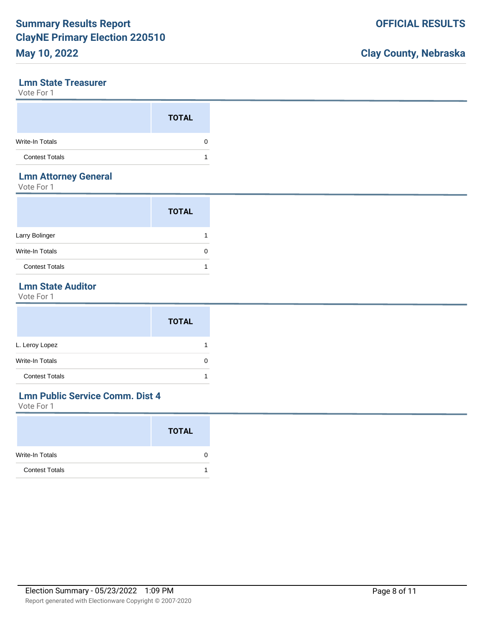#### **Lmn State Treasurer**

Vote For 1

|                       | <b>TOTAL</b> |
|-----------------------|--------------|
| Write-In Totals       |              |
| <b>Contest Totals</b> |              |

#### **Lmn Attorney General**

Vote For 1

|                        | <b>TOTAL</b> |
|------------------------|--------------|
| Larry Bolinger         |              |
| <b>Write-In Totals</b> |              |
| <b>Contest Totals</b>  |              |

### **Lmn State Auditor**

Vote For 1

|                       | <b>TOTAL</b> |
|-----------------------|--------------|
| L. Leroy Lopez        |              |
| Write-In Totals       | 0            |
| <b>Contest Totals</b> |              |

## **Lmn Public Service Comm. Dist 4**

|                        | <b>TOTAL</b> |
|------------------------|--------------|
| <b>Write-In Totals</b> | U            |
| <b>Contest Totals</b>  |              |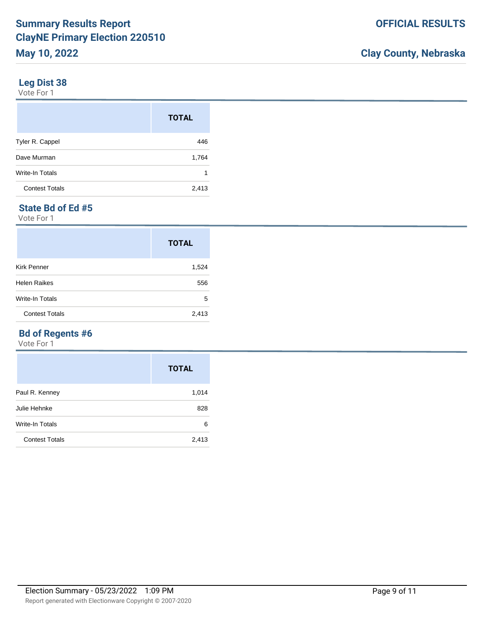#### **Leg Dist 38**

Vote For 1

|                       | <b>TOTAL</b> |
|-----------------------|--------------|
| Tyler R. Cappel       | 446          |
| Dave Murman           | 1,764        |
| Write-In Totals       | 1            |
| <b>Contest Totals</b> | 2,413        |

## **State Bd of Ed #5**

Vote For 1

|                       | <b>TOTAL</b> |
|-----------------------|--------------|
| <b>Kirk Penner</b>    | 1,524        |
| <b>Helen Raikes</b>   | 556          |
| Write-In Totals       | 5            |
| <b>Contest Totals</b> | 2,413        |

## **Bd of Regents #6**

|                       | <b>TOTAL</b> |
|-----------------------|--------------|
| Paul R. Kenney        | 1,014        |
| Julie Hehnke          | 828          |
| Write-In Totals       | 6            |
| <b>Contest Totals</b> | 2,413        |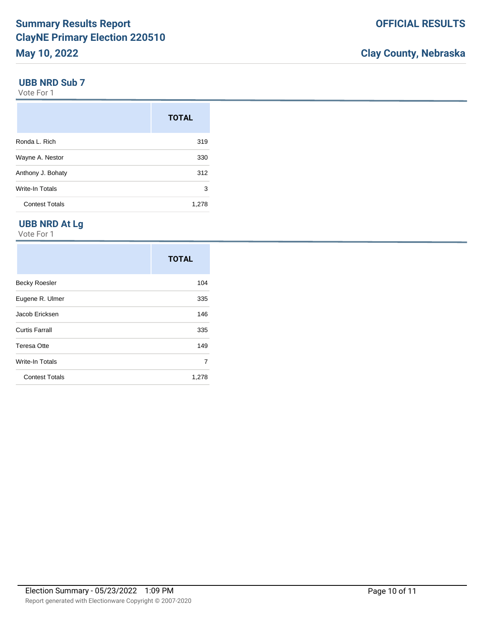#### **UBB NRD Sub 7**

Vote For 1

|                        | <b>TOTAL</b> |
|------------------------|--------------|
| Ronda L. Rich          | 319          |
| Wayne A. Nestor        | 330          |
| Anthony J. Bohaty      | 312          |
| <b>Write-In Totals</b> | 3            |
| <b>Contest Totals</b>  | 1,278        |

### **UBB NRD At Lg**

|                       | <b>TOTAL</b> |
|-----------------------|--------------|
| <b>Becky Roesler</b>  | 104          |
| Eugene R. Ulmer       | 335          |
| Jacob Ericksen        | 146          |
| <b>Curtis Farrall</b> | 335          |
| <b>Teresa Otte</b>    | 149          |
| Write-In Totals       | 7            |
| <b>Contest Totals</b> | 1,278        |